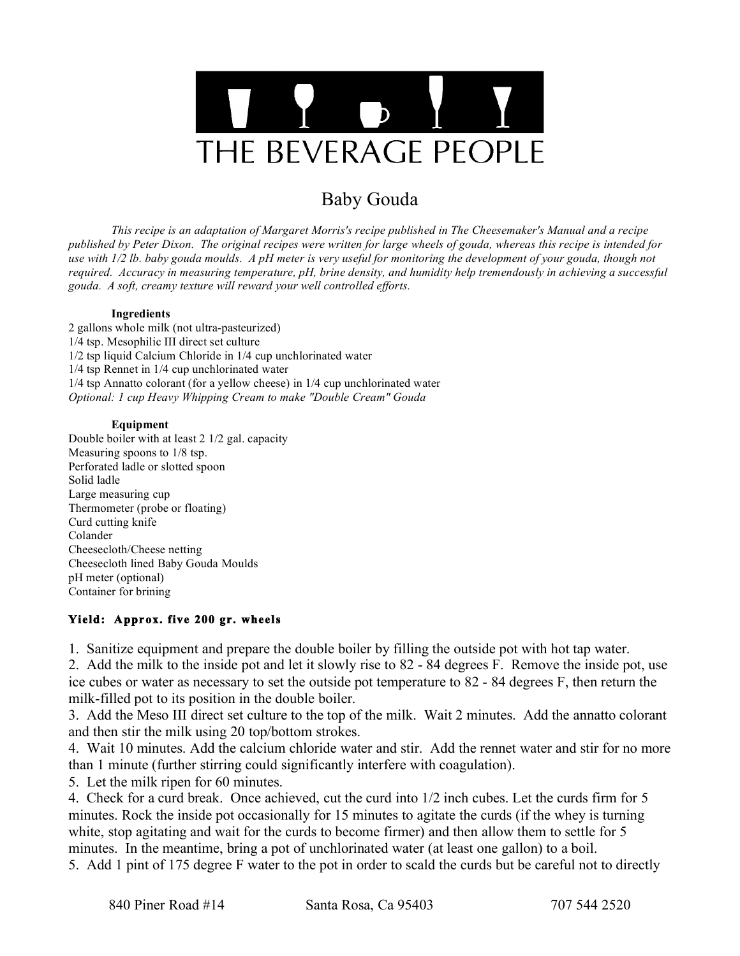

# Baby Gouda

*This recipe is an adaptation of Margaret Morris's recipe published in The Cheesemaker's Manual and a recipe published by Peter Dixon. The original recipes were written for large wheels of gouda, whereas this recipe is intended for use with 1/2 lb. baby gouda moulds. A pH meter is very useful for monitoring the development of your gouda, though not required. Accuracy in measuring temperature, pH, brine density, and humidity help tremendously in achieving a successful gouda. A soft, creamy texture will reward your well controlled efforts.*

#### **Ingredients**

2 gallons whole milk (not ultra-pasteurized) 1/4 tsp. Mesophilic III direct set culture 1/2 tsp liquid Calcium Chloride in 1/4 cup unchlorinated water 1/4 tsp Rennet in 1/4 cup unchlorinated water 1/4 tsp Annatto colorant (for a yellow cheese) in 1/4 cup unchlorinated water *Optional: 1 cup Heavy Whipping Cream to make "Double Cream" Gouda*

#### **Equipment**

Double boiler with at least 2 1/2 gal. capacity Measuring spoons to 1/8 tsp. Perforated ladle or slotted spoon Solid ladle Large measuring cup Thermometer (probe or floating) Curd cutting knife Colander Cheesecloth/Cheese netting Cheesecloth lined Baby Gouda Moulds pH meter (optional) Container for brining

### **Yield: Approx. five 200 gr. wheels**

1. Sanitize equipment and prepare the double boiler by filling the outside pot with hot tap water.

2. Add the milk to the inside pot and let it slowly rise to 82 - 84 degrees F. Remove the inside pot, use ice cubes or water as necessary to set the outside pot temperature to 82 - 84 degrees F, then return the milk-filled pot to its position in the double boiler.

3. Add the Meso III direct set culture to the top of the milk. Wait 2 minutes. Add the annatto colorant and then stir the milk using 20 top/bottom strokes.

4. Wait 10 minutes. Add the calcium chloride water and stir. Add the rennet water and stir for no more than 1 minute (further stirring could significantly interfere with coagulation).

5. Let the milk ripen for 60 minutes.

4. Check for a curd break. Once achieved, cut the curd into 1/2 inch cubes. Let the curds firm for 5 minutes. Rock the inside pot occasionally for 15 minutes to agitate the curds (if the whey is turning white, stop agitating and wait for the curds to become firmer) and then allow them to settle for 5 minutes. In the meantime, bring a pot of unchlorinated water (at least one gallon) to a boil.

5. Add 1 pint of 175 degree F water to the pot in order to scald the curds but be careful not to directly